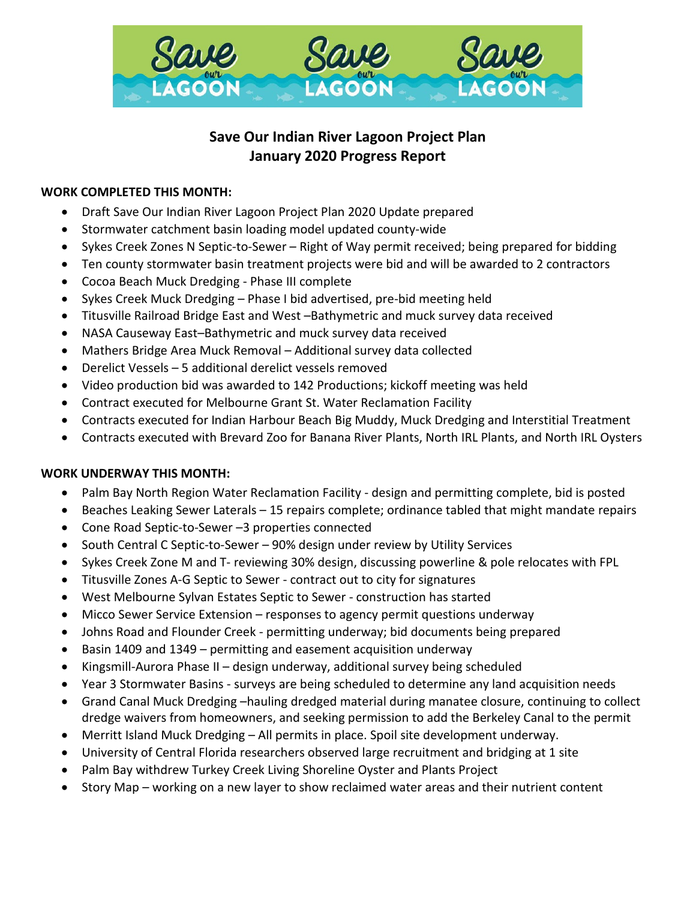

# **Save Our Indian River Lagoon Project Plan January 2020 Progress Report**

## **WORK COMPLETED THIS MONTH:**

- Draft Save Our Indian River Lagoon Project Plan 2020 Update prepared
- Stormwater catchment basin loading model updated county-wide
- Sykes Creek Zones N Septic-to-Sewer Right of Way permit received; being prepared for bidding
- Ten county stormwater basin treatment projects were bid and will be awarded to 2 contractors
- Cocoa Beach Muck Dredging Phase III complete
- Sykes Creek Muck Dredging Phase I bid advertised, pre-bid meeting held
- Titusville Railroad Bridge East and West –Bathymetric and muck survey data received
- NASA Causeway East–Bathymetric and muck survey data received
- Mathers Bridge Area Muck Removal Additional survey data collected
- Derelict Vessels 5 additional derelict vessels removed
- Video production bid was awarded to 142 Productions; kickoff meeting was held
- Contract executed for Melbourne Grant St. Water Reclamation Facility
- Contracts executed for Indian Harbour Beach Big Muddy, Muck Dredging and Interstitial Treatment
- Contracts executed with Brevard Zoo for Banana River Plants, North IRL Plants, and North IRL Oysters

#### **WORK UNDERWAY THIS MONTH:**

- Palm Bay North Region Water Reclamation Facility design and permitting complete, bid is posted
- Beaches Leaking Sewer Laterals 15 repairs complete; ordinance tabled that might mandate repairs
- Cone Road Septic-to-Sewer –3 properties connected
- South Central C Septic-to-Sewer 90% design under review by Utility Services
- Sykes Creek Zone M and T- reviewing 30% design, discussing powerline & pole relocates with FPL
- Titusville Zones A-G Septic to Sewer contract out to city for signatures
- West Melbourne Sylvan Estates Septic to Sewer construction has started
- Micco Sewer Service Extension responses to agency permit questions underway
- Johns Road and Flounder Creek permitting underway; bid documents being prepared
- Basin 1409 and 1349 permitting and easement acquisition underway
- Kingsmill-Aurora Phase II design underway, additional survey being scheduled
- Year 3 Stormwater Basins surveys are being scheduled to determine any land acquisition needs
- Grand Canal Muck Dredging –hauling dredged material during manatee closure, continuing to collect dredge waivers from homeowners, and seeking permission to add the Berkeley Canal to the permit
- Merritt Island Muck Dredging All permits in place. Spoil site development underway.
- University of Central Florida researchers observed large recruitment and bridging at 1 site
- Palm Bay withdrew Turkey Creek Living Shoreline Oyster and Plants Project
- Story Map working on a new layer to show reclaimed water areas and their nutrient content